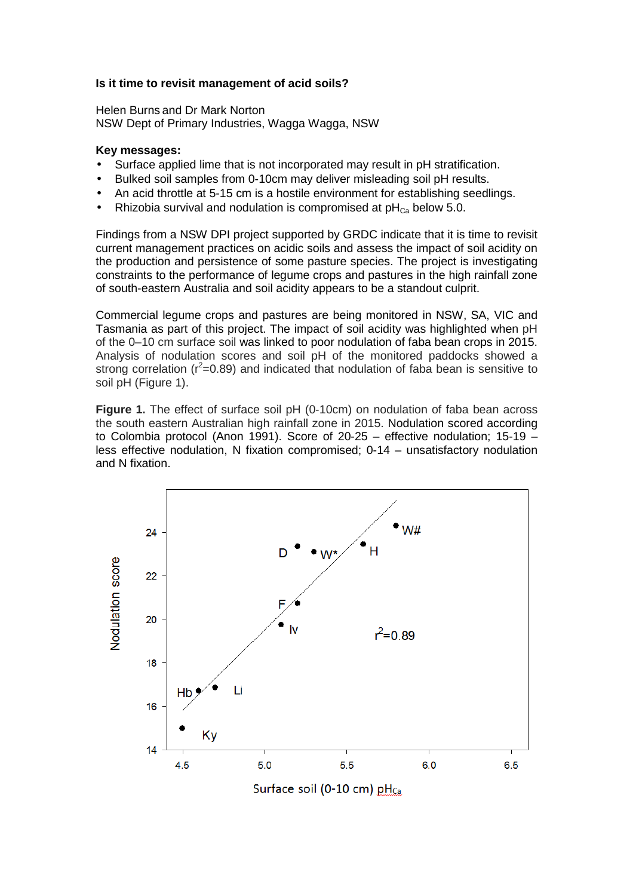## **Is it time to revisit management of acid soils?**

Helen Burns and Dr Mark Norton NSW Dept of Primary Industries, Wagga Wagga, NSW

## **Key messages:**

- Surface applied lime that is not incorporated may result in pH stratification.
- Bulked soil samples from 0-10cm may deliver misleading soil pH results.
- An acid throttle at 5-15 cm is a hostile environment for establishing seedlings.
- Rhizobia survival and nodulation is compromised at  $pH_{Ca}$  below 5.0.

Findings from a NSW DPI project supported by GRDC indicate that it is time to revisit current management practices on acidic soils and assess the impact of soil acidity on the production and persistence of some pasture species. The project is investigating constraints to the performance of legume crops and pastures in the high rainfall zone of south-eastern Australia and soil acidity appears to be a standout culprit.

Commercial legume crops and pastures are being monitored in NSW, SA, VIC and Tasmania as part of this project. The impact of soil acidity was highlighted when pH of the 0–10 cm surface soil was linked to poor nodulation of faba bean crops in 2015. Analysis of nodulation scores and soil pH of the monitored paddocks showed a strong correlation ( $r^2$ =0.89) and indicated that nodulation of faba bean is sensitive to soil pH (Figure 1).

**Figure 1.** The effect of surface soil pH (0-10cm) on nodulation of faba bean across the south eastern Australian high rainfall zone in 2015. Nodulation scored according to Colombia protocol (Anon 1991). Score of 20-25 – effective nodulation; 15-19 – less effective nodulation, N fixation compromised; 0-14 – unsatisfactory nodulation and N fixation.

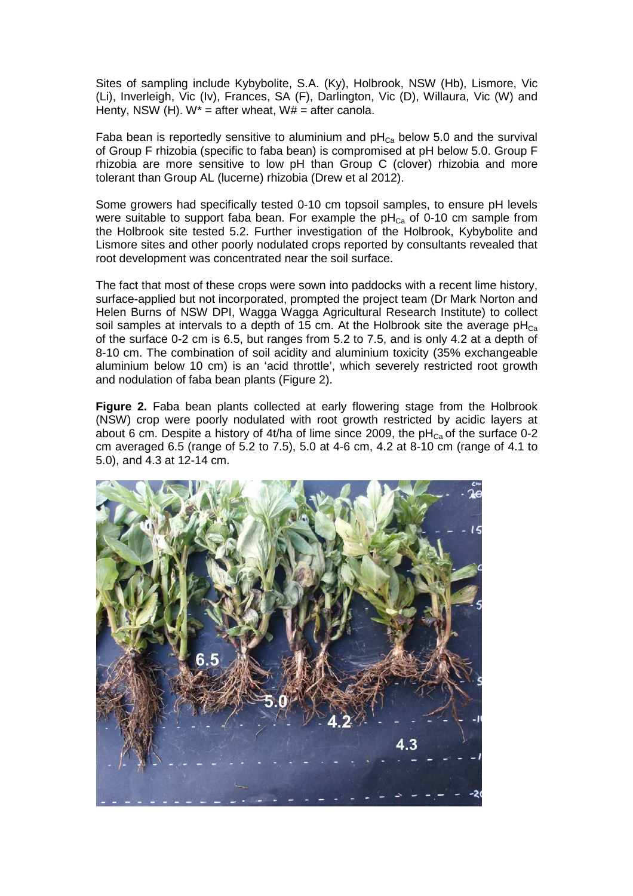Sites of sampling include Kybybolite, S.A. (Ky), Holbrook, NSW (Hb), Lismore, Vic (Li), Inverleigh, Vic (Iv), Frances, SA (F), Darlington, Vic (D), Willaura, Vic (W) and Henty, NSW (H).  $W^*$  = after wheat,  $W#$  = after canola.

Faba bean is reportedly sensitive to aluminium and  $pH<sub>Ca</sub>$  below 5.0 and the survival of Group F rhizobia (specific to faba bean) is compromised at pH below 5.0. Group F rhizobia are more sensitive to low pH than Group C (clover) rhizobia and more tolerant than Group AL (lucerne) rhizobia (Drew et al 2012).

Some growers had specifically tested 0-10 cm topsoil samples, to ensure pH levels were suitable to support faba bean. For example the  $pH_{C2}$  of 0-10 cm sample from the Holbrook site tested 5.2. Further investigation of the Holbrook, Kybybolite and Lismore sites and other poorly nodulated crops reported by consultants revealed that root development was concentrated near the soil surface.

The fact that most of these crops were sown into paddocks with a recent lime history, surface-applied but not incorporated, prompted the project team (Dr Mark Norton and Helen Burns of NSW DPI, Wagga Wagga Agricultural Research Institute) to collect soil samples at intervals to a depth of 15 cm. At the Holbrook site the average  $pH_{Ca}$ of the surface 0-2 cm is 6.5, but ranges from 5.2 to 7.5, and is only 4.2 at a depth of 8-10 cm. The combination of soil acidity and aluminium toxicity (35% exchangeable aluminium below 10 cm) is an 'acid throttle', which severely restricted root growth and nodulation of faba bean plants (Figure 2).

**Figure 2.** Faba bean plants collected at early flowering stage from the Holbrook (NSW) crop were poorly nodulated with root growth restricted by acidic layers at about 6 cm. Despite a history of 4t/ha of lime since 2009, the  $pH_{Ca}$  of the surface 0-2 cm averaged 6.5 (range of 5.2 to 7.5), 5.0 at 4-6 cm, 4.2 at 8-10 cm (range of 4.1 to 5.0), and 4.3 at 12-14 cm.

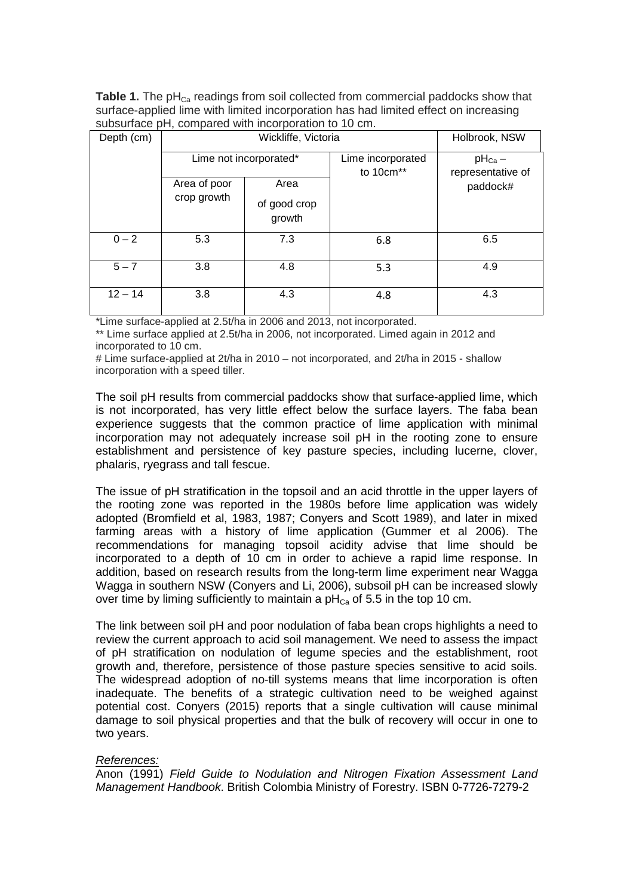**Table 1.** The pH<sub>Ca</sub> readings from soil collected from commercial paddocks show that surface-applied lime with limited incorporation has had limited effect on increasing subsurface pH, compared with incorporation to 10 cm.

| Depth (cm) | Wickliffe, Victoria         |                                |                                | Holbrook, NSW                    |
|------------|-----------------------------|--------------------------------|--------------------------------|----------------------------------|
|            | Lime not incorporated*      |                                | Lime incorporated<br>to 10cm** | $pH_{Ca}$ –<br>representative of |
|            | Area of poor<br>crop growth | Area<br>of good crop<br>growth |                                | paddock#                         |
| $0 - 2$    | 5.3                         | 7.3                            | 6.8                            | 6.5                              |
| $5 - 7$    | 3.8                         | 4.8                            | 5.3                            | 4.9                              |
| $12 - 14$  | 3.8                         | 4.3                            | 4.8                            | 4.3                              |

\*Lime surface-applied at 2.5t/ha in 2006 and 2013, not incorporated.

\*\* Lime surface applied at 2.5t/ha in 2006, not incorporated. Limed again in 2012 and incorporated to 10 cm.

# Lime surface-applied at 2t/ha in 2010 – not incorporated, and 2t/ha in 2015 - shallow incorporation with a speed tiller.

The soil pH results from commercial paddocks show that surface-applied lime, which is not incorporated, has very little effect below the surface layers. The faba bean experience suggests that the common practice of lime application with minimal incorporation may not adequately increase soil pH in the rooting zone to ensure establishment and persistence of key pasture species, including lucerne, clover, phalaris, ryegrass and tall fescue.

The issue of pH stratification in the topsoil and an acid throttle in the upper layers of the rooting zone was reported in the 1980s before lime application was widely adopted (Bromfield et al, 1983, 1987; Conyers and Scott 1989), and later in mixed farming areas with a history of lime application (Gummer et al 2006). The recommendations for managing topsoil acidity advise that lime should be incorporated to a depth of 10 cm in order to achieve a rapid lime response. In addition, based on research results from the long-term lime experiment near Wagga Wagga in southern NSW (Conyers and Li, 2006), subsoil pH can be increased slowly over time by liming sufficiently to maintain a  $pH<sub>Ca</sub>$  of 5.5 in the top 10 cm.

The link between soil pH and poor nodulation of faba bean crops highlights a need to review the current approach to acid soil management. We need to assess the impact of pH stratification on nodulation of legume species and the establishment, root growth and, therefore, persistence of those pasture species sensitive to acid soils. The widespread adoption of no-till systems means that lime incorporation is often inadequate. The benefits of a strategic cultivation need to be weighed against potential cost. Conyers (2015) reports that a single cultivation will cause minimal damage to soil physical properties and that the bulk of recovery will occur in one to two years.

## References:

Anon (1991) Field Guide to Nodulation and Nitrogen Fixation Assessment Land Management Handbook. British Colombia Ministry of Forestry. ISBN 0-7726-7279-2